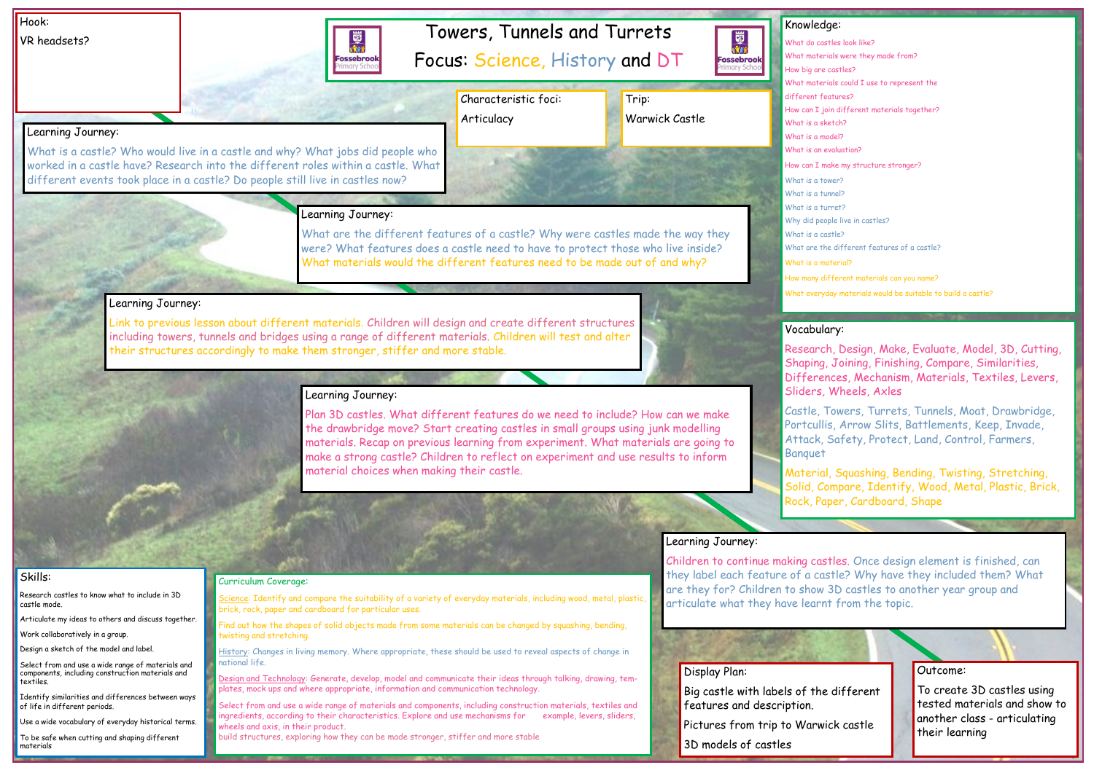# Towers, Tunnels and Turrets

Focus: Science, History and DT

# Hook:

VR headsets?



Outcome:

To create 3D castles using tested materials and show to another class - articulating their learning

# Knowledge:

國流

**Fossebrook** 

How big are castles? different features? What is a sketch? What is a model? What is an evaluation? What is a tower? What is a tunnel? What is a turret? What is a castle? What is a material?

- What do castles look like?
- What materials were they made from?
	-
- What materials could I use to represent the
	-
- How can I join different materials together?
	-
	-
	-
- How can I make my structure stronger?
	-
	-
	-
- Why did people live in castles?
	-
- What are the different features of a castle?
	-
- How many different materials can you name?
- What everyday materials would be suitable to build a castle?

Identify similarities and differences between ways of life in different periods.

### Skills:

Research castles to know what to include in 3D castle mode.

Articulate my ideas to others and discuss together.

Work collaboratively in a group.

Design a sketch of the model and label.

Select from and use a wide range of materials and components, including construction materials and textiles.

Plan 3D castles. What different features do we need to include? How can we make ls. Recap on previous learning from experiment. What materials are going to strong castle? Children to reflect on experiment and use results to inform

Use a wide vocabulary of everyday historical terms.

To be safe when cutting and shaping different materials

### Learning Journey:

What is a castle? Who would live in a castle and why? What jobs did people who worked in a castle have? Research into the different roles within a castle. What different events took place in a castle? Do people still live in castles now?

> Science: Identify and compare the suitability of a variety of everyday materials, including wood, metal, plastic, brick, rock, paper and cardboard for particular uses.

# Learning Journey:

What are the different features of a castle? Why were castles made the way they were? What features does a castle need to have to protect those who live inside? What materials would the different features need to be made out of and why?

# Learning Journey:

Link to previous lesson about different materials. Children will design and create different structures including towers, tunnels and bridges using a range of different materials. Children will test and alter their structures accordingly to make them stronger, stiffer and more stable.



wbridge move? Start creating castles in small groups using junk modelling choices when making their castle.

# Learning Journey:

# Learning Journey:

Children to continue making castles. Once design element is finished, can they label each feature of a castle? Why have they included them? What are they for? Children to show 3D castles to another year group and articulate what they have learnt from the topic.

### Curriculum Coverage:

Find out how the shapes of solid objects made from some materials can be changed by squashing, bending, twisting and stretching.

History: Changes in living memory. Where appropriate, these should be used to reveal aspects of change in national life.

Design and Technology: Generate, develop, model and communicate their ideas through talking, drawing, templates, mock ups and where appropriate, information and communication technology.

Select from and use a wide range of materials and components, including construction materials, textiles and ingredients, according to their characteristics. Explore and use mechanisms for example, levers, sliders, wheels and axis, in their product.

build structures, exploring how they can be made stronger, stiffer and more stable

# Vocabulary:

Research, Design, Make, Evaluate, Model, 3D, Cutting, Shaping, Joining, Finishing, Compare, Similarities, Differences, Mechanism, Materials, Textiles, Levers, Sliders, Wheels, Axles

Castle, Towers, Turrets, Tunnels, Moat, Drawbridge, Portcullis, Arrow Slits, Battlements, Keep, Invade, Attack, Safety, Protect, Land, Control, Farmers, Banquet

Material, Squashing, Bending, Twisting, Stretching, Solid, Compare, Identify, Wood, Metal, Plastic, Brick, Rock, Paper, Cardboard, Shape

# Display Plan:

Big castle with labels of the different features and description.

Pictures from trip to Warwick castle

3D models of castles

| .        |  |
|----------|--|
| the draw |  |
| material |  |
| make a s |  |
| material |  |
|          |  |

Trip:

# Warwick Castle

Characteristic foci: Articulacy